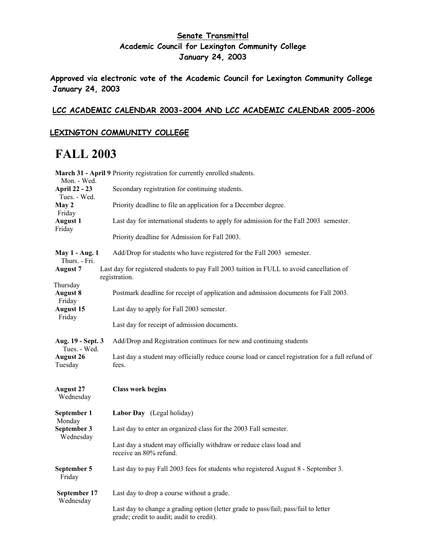### **Senate Transmittal Academic Council for Lexington Community College January 24, 2003**

**Approved via electronic vote of the Academic Council for Lexington Community College January 24, 2003** 

#### **LCC ACADEMIC CALENDAR 2003-2004 AND LCC ACADEMIC CALENDAR 2005-2006**

#### **LEXINGTON COMMUNITY COLLEGE**

### **FALL 2003**

| Mon. - Wed.                            | March 31 - April 9 Priority registration for currently enrolled students.                                   |
|----------------------------------------|-------------------------------------------------------------------------------------------------------------|
| <b>April 22 - 23</b><br>Tues. - Wed.   | Secondary registration for continuing students.                                                             |
| May 2                                  | Priority deadline to file an application for a December degree.                                             |
| Friday<br><b>August 1</b>              | Last day for international students to apply for admission for the Fall 2003 semester.                      |
| Friday                                 | Priority deadline for Admission for Fall 2003.                                                              |
| <b>May 1 - Aug. 1</b><br>Thurs. - Fri. | Add/Drop for students who have registered for the Fall 2003 semester.                                       |
| <b>August 7</b>                        | Last day for registered students to pay Fall 2003 tuition in FULL to avoid cancellation of<br>registration. |
| Thursday<br><b>August 8</b><br>Friday  | Postmark deadline for receipt of application and admission documents for Fall 2003.                         |
| <b>August 15</b><br>Friday             | Last day to apply for Fall 2003 semester.                                                                   |
|                                        | Last day for receipt of admission documents.                                                                |
| Aug. 19 - Sept. 3<br>Tues. - Wed.      | Add/Drop and Registration continues for new and continuing students                                         |
| <b>August 26</b><br>Tuesday            | Last day a student may officially reduce course load or cancel registration for a full refund of<br>fees.   |
| <b>August 27</b><br>Wednesday          | <b>Class work begins</b>                                                                                    |
| September 1                            | Labor Day (Legal holiday)                                                                                   |
| Monday<br>September 3<br>Wednesday     | Last day to enter an organized class for the 2003 Fall semester.                                            |
|                                        | Last day a student may officially withdraw or reduce class load and<br>receive an 80% refund.               |
| September 5<br>Friday                  | Last day to pay Fall 2003 fees for students who registered August 8 - September 3.                          |
| September 17                           | Last day to drop a course without a grade.                                                                  |
| Wednesday                              | Last day to change a grading option (letter grade to pass/fail; pass/fail to letter                         |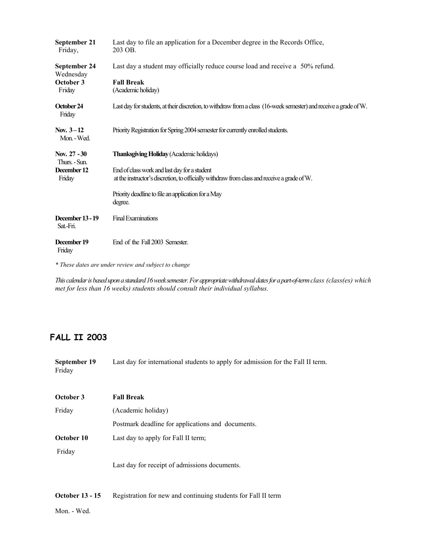| September 21<br>Friday,              | Last day to file an application for a December degree in the Records Office,<br>203 OB.                                                     |  |
|--------------------------------------|---------------------------------------------------------------------------------------------------------------------------------------------|--|
| September 24<br>Wednesday            | Last day a student may officially reduce course load and receive a 50% refund.                                                              |  |
| October 3<br>Friday                  | <b>Fall Break</b><br>(Academic holiday)                                                                                                     |  |
| October 24<br>Friday                 | Last day for students, at their discretion, to withdraw from a class (16-week semester) and receive a grade of W.                           |  |
| Nov. $3-12$<br>Mon. - Wed.           | Priority Registration for Spring 2004 semester for currently enrolled students.                                                             |  |
| Nov. 27 - 30<br>Thurs. - Sun.        | <b>Thanksgiving Holiday (Academic holidays)</b>                                                                                             |  |
| December 12<br>Friday                | End of class work and last day for a student<br>at the instructor's discretion, to officially withdraw from class and receive a grade of W. |  |
|                                      | Priority deadline to file an application for a May<br>degree.                                                                               |  |
| <b>December 13 - 19</b><br>Sat. Fri. | <b>Final Examinations</b>                                                                                                                   |  |
| December 19<br>Friday                | End of the Fall 2003 Semester.                                                                                                              |  |

*\* These dates are under review and subject to change*

*This calendar is based upon a standard 16 week semester. For appropriate withdrawal dates for a part-of-term class (class(es) which met for less than 16 weeks) students should consult their individual syllabus.*

### **FALL II 2003**

| September 19<br>Friday | Last day for international students to apply for admission for the Fall II term. |
|------------------------|----------------------------------------------------------------------------------|
| October 3              | <b>Fall Break</b>                                                                |
| Friday                 | (Academic holiday)                                                               |
|                        | Postmark deadline for applications and documents.                                |
| October 10             | Last day to apply for Fall II term;                                              |
| Friday                 |                                                                                  |
|                        | Last day for receipt of admissions documents.                                    |
|                        |                                                                                  |
|                        |                                                                                  |

**October 13 - 15** Registration for new and continuing students for Fall II term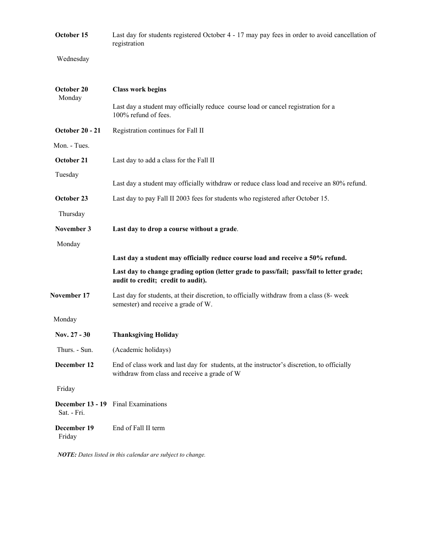| October 15             | Last day for students registered October 4 - 17 may pay fees in order to avoid cancellation of<br>registration                             |  |
|------------------------|--------------------------------------------------------------------------------------------------------------------------------------------|--|
| Wednesday              |                                                                                                                                            |  |
| October 20<br>Monday   | <b>Class work begins</b>                                                                                                                   |  |
|                        | Last day a student may officially reduce course load or cancel registration for a<br>100% refund of fees.                                  |  |
| <b>October 20 - 21</b> | Registration continues for Fall II                                                                                                         |  |
| Mon. - Tues.           |                                                                                                                                            |  |
| October 21             | Last day to add a class for the Fall II                                                                                                    |  |
| Tuesday                |                                                                                                                                            |  |
|                        | Last day a student may officially withdraw or reduce class load and receive an 80% refund.                                                 |  |
| October 23             | Last day to pay Fall II 2003 fees for students who registered after October 15.                                                            |  |
| Thursday               |                                                                                                                                            |  |
| November 3             | Last day to drop a course without a grade.                                                                                                 |  |
| Monday                 |                                                                                                                                            |  |
|                        | Last day a student may officially reduce course load and receive a 50% refund.                                                             |  |
|                        | Last day to change grading option (letter grade to pass/fail; pass/fail to letter grade;<br>audit to credit; credit to audit).             |  |
| November 17            | Last day for students, at their discretion, to officially withdraw from a class (8- week<br>semester) and receive a grade of W.            |  |
| Monday                 |                                                                                                                                            |  |
| Nov. 27 - 30           | <b>Thanksgiving Holiday</b>                                                                                                                |  |
| Thurs. - Sun.          | (Academic holidays)                                                                                                                        |  |
| December 12            | End of class work and last day for students, at the instructor's discretion, to officially<br>withdraw from class and receive a grade of W |  |
| Friday                 |                                                                                                                                            |  |
| Sat. - Fri.            | <b>December 13 - 19</b> Final Examinations                                                                                                 |  |
| December 19<br>Friday  | End of Fall II term                                                                                                                        |  |
|                        |                                                                                                                                            |  |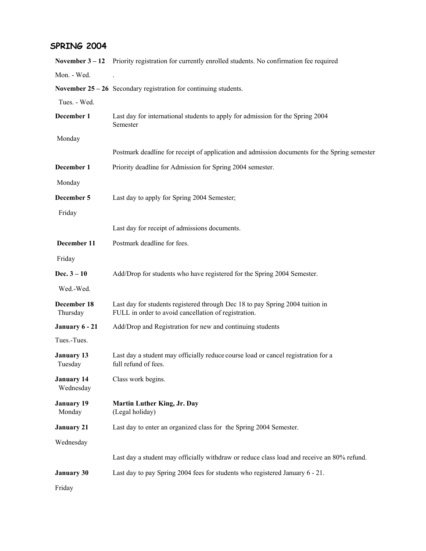### **SPRING 2004**

|                                | November $3 - 12$ Priority registration for currently enrolled students. No confirmation fee required                                 |  |
|--------------------------------|---------------------------------------------------------------------------------------------------------------------------------------|--|
| Mon. - Wed.                    |                                                                                                                                       |  |
|                                | November $25 - 26$ Secondary registration for continuing students.                                                                    |  |
| Tues. - Wed.                   |                                                                                                                                       |  |
| December 1                     | Last day for international students to apply for admission for the Spring 2004<br>Semester                                            |  |
| Monday                         |                                                                                                                                       |  |
|                                | Postmark deadline for receipt of application and admission documents for the Spring semester                                          |  |
| December 1                     | Priority deadline for Admission for Spring 2004 semester.                                                                             |  |
| Monday                         |                                                                                                                                       |  |
| December 5                     | Last day to apply for Spring 2004 Semester;                                                                                           |  |
| Friday                         |                                                                                                                                       |  |
|                                | Last day for receipt of admissions documents.                                                                                         |  |
| December 11                    | Postmark deadline for fees.                                                                                                           |  |
| Friday                         |                                                                                                                                       |  |
| Dec. $3 - 10$                  | Add/Drop for students who have registered for the Spring 2004 Semester.                                                               |  |
| Wed.-Wed.                      |                                                                                                                                       |  |
| December 18<br>Thursday        | Last day for students registered through Dec 18 to pay Spring 2004 tuition in<br>FULL in order to avoid cancellation of registration. |  |
| January 6 - 21                 | Add/Drop and Registration for new and continuing students                                                                             |  |
| Tues.-Tues.                    |                                                                                                                                       |  |
| <b>January 13</b><br>Tuesday   | Last day a student may officially reduce course load or cancel registration for a<br>full refund of fees.                             |  |
| <b>January 14</b><br>Wednesday | Class work begins.                                                                                                                    |  |
| <b>January 19</b><br>Monday    | <b>Martin Luther King, Jr. Day</b><br>(Legal holiday)                                                                                 |  |
| <b>January 21</b>              | Last day to enter an organized class for the Spring 2004 Semester.                                                                    |  |
| Wednesday                      |                                                                                                                                       |  |
|                                | Last day a student may officially withdraw or reduce class load and receive an 80% refund.                                            |  |
| <b>January 30</b>              | Last day to pay Spring 2004 fees for students who registered January 6 - 21.                                                          |  |
| Friday                         |                                                                                                                                       |  |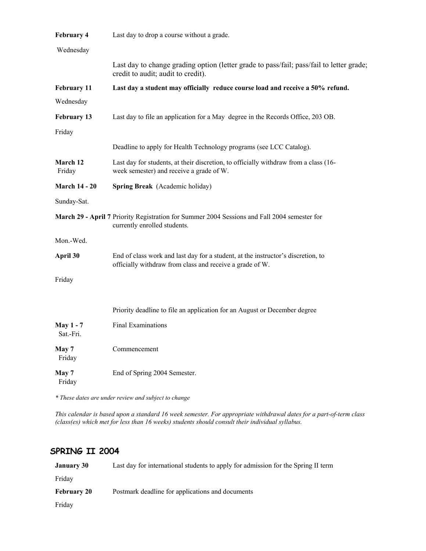| <b>February 4</b>             | Last day to drop a course without a grade.                                                                                                   |
|-------------------------------|----------------------------------------------------------------------------------------------------------------------------------------------|
| Wednesday                     |                                                                                                                                              |
|                               | Last day to change grading option (letter grade to pass/fail; pass/fail to letter grade;<br>credit to audit; audit to credit).               |
| <b>February 11</b>            | Last day a student may officially reduce course load and receive a 50% refund.                                                               |
| Wednesday                     |                                                                                                                                              |
| <b>February 13</b>            | Last day to file an application for a May degree in the Records Office, 203 OB.                                                              |
| Friday                        |                                                                                                                                              |
|                               | Deadline to apply for Health Technology programs (see LCC Catalog).                                                                          |
| <b>March 12</b><br>Friday     | Last day for students, at their discretion, to officially withdraw from a class (16-<br>week semester) and receive a grade of W.             |
| <b>March 14 - 20</b>          | <b>Spring Break</b> (Academic holiday)                                                                                                       |
| Sunday-Sat.                   |                                                                                                                                              |
|                               | March 29 - April 7 Priority Registration for Summer 2004 Sessions and Fall 2004 semester for<br>currently enrolled students.                 |
| Mon.-Wed.                     |                                                                                                                                              |
| April 30                      | End of class work and last day for a student, at the instructor's discretion, to<br>officially withdraw from class and receive a grade of W. |
| Friday                        |                                                                                                                                              |
|                               | Priority deadline to file an application for an August or December degree                                                                    |
| <b>May 1 - 7</b><br>Sat.-Fri. | <b>Final Examinations</b>                                                                                                                    |
| May 7<br>Friday               | Commencement                                                                                                                                 |
| May 7<br>Friday               | End of Spring 2004 Semester.                                                                                                                 |

*\* These dates are under review and subject to change*

*This calendar is based upon a standard 16 week semester. For appropriate withdrawal dates for a part-of-term class (class(es) which met for less than 16 weeks) students should consult their individual syllabus.*

### **SPRING II 2004**

| January 30         | Last day for international students to apply for admission for the Spring II term |
|--------------------|-----------------------------------------------------------------------------------|
| Friday             |                                                                                   |
| <b>February 20</b> | Postmark deadline for applications and documents                                  |
| Friday             |                                                                                   |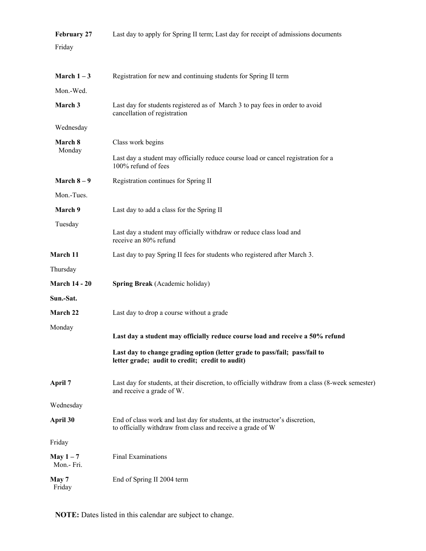| <b>February 27</b>      | Last day to apply for Spring II term; Last day for receipt of admissions documents                                                         |
|-------------------------|--------------------------------------------------------------------------------------------------------------------------------------------|
| Friday                  |                                                                                                                                            |
|                         |                                                                                                                                            |
| March $1-3$             | Registration for new and continuing students for Spring II term                                                                            |
| Mon.-Wed.               |                                                                                                                                            |
| March 3                 | Last day for students registered as of March 3 to pay fees in order to avoid<br>cancellation of registration                               |
| Wednesday               |                                                                                                                                            |
| March 8                 | Class work begins                                                                                                                          |
| Monday                  | Last day a student may officially reduce course load or cancel registration for a<br>100% refund of fees                                   |
| March $8-9$             | Registration continues for Spring II                                                                                                       |
| Mon.-Tues.              |                                                                                                                                            |
| March 9                 | Last day to add a class for the Spring II                                                                                                  |
| Tuesday                 | Last day a student may officially withdraw or reduce class load and<br>receive an 80% refund                                               |
| March 11                | Last day to pay Spring II fees for students who registered after March 3.                                                                  |
| Thursday                |                                                                                                                                            |
| <b>March 14 - 20</b>    | Spring Break (Academic holiday)                                                                                                            |
| Sun.-Sat.               |                                                                                                                                            |
| <b>March 22</b>         | Last day to drop a course without a grade                                                                                                  |
| Monday                  |                                                                                                                                            |
|                         | Last day a student may officially reduce course load and receive a 50% refund                                                              |
|                         | Last day to change grading option (letter grade to pass/fail; pass/fail to<br>letter grade; audit to credit; credit to audit)              |
| April 7                 | Last day for students, at their discretion, to officially withdraw from a class (8-week semester)<br>and receive a grade of W.             |
| Wednesday               |                                                                                                                                            |
| April 30                | End of class work and last day for students, at the instructor's discretion,<br>to officially withdraw from class and receive a grade of W |
| Friday                  |                                                                                                                                            |
| May $1-7$<br>Mon.- Fri. | Final Examinations                                                                                                                         |
| May 7<br>Friday         | End of Spring II 2004 term                                                                                                                 |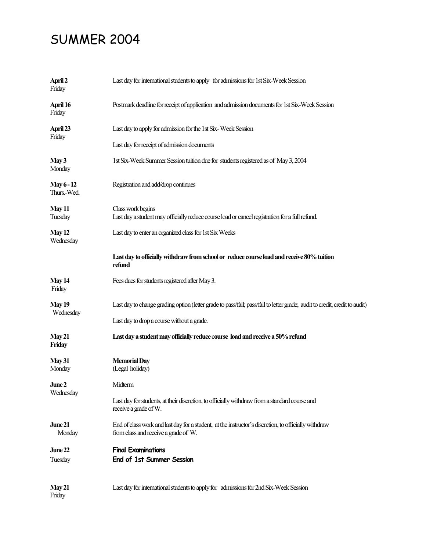# SUMMER 2004

| April 2<br>Friday                | Last day for international students to apply for admissions for 1st Six-Week Session                                                         |  |
|----------------------------------|----------------------------------------------------------------------------------------------------------------------------------------------|--|
| April 16<br>Friday               | Postmark deadline for receipt of application and admission documents for 1st Six-Week Session                                                |  |
| April 23                         | Last day to apply for admission for the 1st Six-Week Session                                                                                 |  |
| Friday                           | Last day for receipt of admission documents                                                                                                  |  |
| May3<br>Monday                   | 1st Six-Week Summer Session tuition due for students registered as of May 3, 2004                                                            |  |
| <b>May 6 - 12</b><br>Thurs.-Wed. | Registration and add/drop continues                                                                                                          |  |
| May 11<br>Tuesday                | Class work begins<br>Last day a student may officially reduce course load or cancel registration for a full refund.                          |  |
| <b>May 12</b><br>Wednesday       | Last day to enter an organized class for 1st Six Weeks                                                                                       |  |
|                                  | Last day to officially withdraw from school or reduce course load and receive 80% tuition<br>refund                                          |  |
| <b>May 14</b><br>Friday          | Fees dues for students registered after May 3.                                                                                               |  |
| <b>May 19</b>                    | Last day to change grading option (letter grade to pass/fail; pass/fail to letter grade; audit to credit, credit to audit)                   |  |
| Wednesday                        | Last day to drop a course without a grade.                                                                                                   |  |
| May 21<br>Friday                 | Last day a student may officially reduce course load and receive a 50% refund                                                                |  |
| <b>May 31</b><br>Monday          | <b>Memorial Day</b><br>(Legal holiday)                                                                                                       |  |
| June 2                           | Midterm                                                                                                                                      |  |
| Wednesday                        | Last day for students, at their discretion, to officially withdraw from a standard course and<br>receive a grade of W.                       |  |
| June 21<br>Monday                | End of class work and last day for a student, at the instructor's discretion, to officially withdraw<br>from class and receive a grade of W. |  |
| June 22                          | <b>Final Examinations</b>                                                                                                                    |  |
| Tuesday                          | End of 1st Summer Session                                                                                                                    |  |
| May 21<br>Friday                 | Last day for international students to apply for admissions for 2nd Six-Week Session                                                         |  |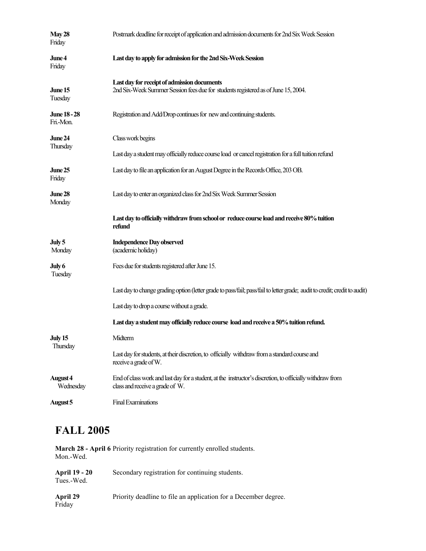| May 28<br>Friday                 | Postmark deadline for receipt of application and admission documents for 2nd Six Week Session                                                |  |
|----------------------------------|----------------------------------------------------------------------------------------------------------------------------------------------|--|
| June 4<br>Friday                 | Last day to apply for admission for the 2nd Six-Week Session                                                                                 |  |
| June 15<br>Tuesday               | Last day for receipt of admission documents<br>2nd Six-Week Summer Session fees due for students registered as of June 15, 2004.             |  |
| <b>June 18 - 28</b><br>Fri.-Mon. | Registration and Add/Drop continues for new and continuing students.                                                                         |  |
| June 24<br>Thursday              | Class work begins                                                                                                                            |  |
|                                  | Last day a student may officially reduce course load or cancel registration for a full tuition refund                                        |  |
| June 25<br>Friday                | Last day to file an application for an August Degree in the Records Office, 203 OB.                                                          |  |
| June 28<br>Monday                | Last day to enter an organized class for 2nd Six Week Summer Session                                                                         |  |
|                                  | Last day to officially withdraw from school or reduce course load and receive 80% tuition                                                    |  |
|                                  | refund                                                                                                                                       |  |
| July 5<br>Monday                 | <b>Independence Day observed</b><br>(academic holiday)                                                                                       |  |
| July 6<br>Tuesday                | Fees due for students registered after June 15.                                                                                              |  |
|                                  | Last day to change grading option (letter grade to pass/fail; pass/fail to letter grade; audit to credit; credit to audit)                   |  |
|                                  | Last day to drop a course without a grade.                                                                                                   |  |
|                                  | Last day a student may officially reduce course load and receive a 50% tuition refund.                                                       |  |
| <b>July 15</b>                   | Midterm                                                                                                                                      |  |
| Thursday                         | Last day for students, at their discretion, to officially withdraw from a standard course and<br>receive a grade of W.                       |  |
| August 4<br>Wednesday            | End of class work and last day for a student, at the instructor's discretion, to officially withdraw from<br>class and receive a grade of W. |  |

## **FALL 2005**

**March 28 - April 6** Priority registration for currently enrolled students. Mon.-Wed.

| <b>April 19 - 20</b> | Secondary registration for continuing students. |
|----------------------|-------------------------------------------------|
| Tues.-Wed.           |                                                 |

April 29 Priority deadline to file an application for a December degree.

Friday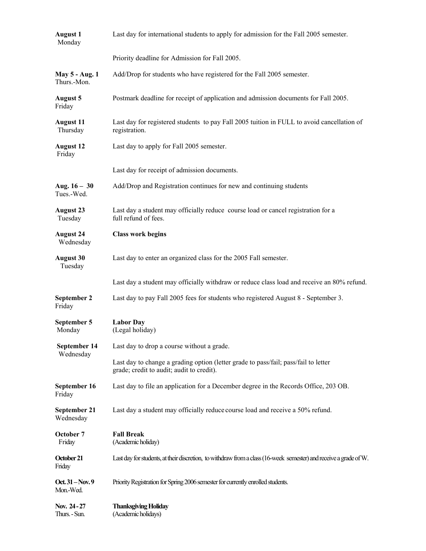| <b>August 1</b><br>Monday     | Last day for international students to apply for admission for the Fall 2005 semester.                                           |  |
|-------------------------------|----------------------------------------------------------------------------------------------------------------------------------|--|
|                               | Priority deadline for Admission for Fall 2005.                                                                                   |  |
| May 5 - Aug. 1<br>Thurs.-Mon. | Add/Drop for students who have registered for the Fall 2005 semester.                                                            |  |
| <b>August 5</b><br>Friday     | Postmark deadline for receipt of application and admission documents for Fall 2005.                                              |  |
| <b>August 11</b><br>Thursday  | Last day for registered students to pay Fall 2005 tuition in FULL to avoid cancellation of<br>registration.                      |  |
| <b>August 12</b><br>Friday    | Last day to apply for Fall 2005 semester.                                                                                        |  |
|                               | Last day for receipt of admission documents.                                                                                     |  |
| Aug. $16 - 30$<br>Tues.-Wed.  | Add/Drop and Registration continues for new and continuing students                                                              |  |
| <b>August 23</b><br>Tuesday   | Last day a student may officially reduce course load or cancel registration for a<br>full refund of fees.                        |  |
| <b>August 24</b><br>Wednesday | <b>Class work begins</b>                                                                                                         |  |
| <b>August 30</b><br>Tuesday   | Last day to enter an organized class for the 2005 Fall semester.                                                                 |  |
|                               | Last day a student may officially withdraw or reduce class load and receive an 80% refund.                                       |  |
| September 2<br>Friday         | Last day to pay Fall 2005 fees for students who registered August 8 - September 3.                                               |  |
| September 5<br>Monday         | <b>Labor Day</b><br>(Legal holiday)                                                                                              |  |
| September 14<br>Wednesday     | Last day to drop a course without a grade.                                                                                       |  |
|                               | Last day to change a grading option (letter grade to pass/fail; pass/fail to letter<br>grade; credit to audit; audit to credit). |  |
| September 16<br>Friday        | Last day to file an application for a December degree in the Records Office, 203 OB.                                             |  |
| September 21<br>Wednesday     | Last day a student may officially reduce course load and receive a 50% refund.                                                   |  |
| October 7<br>Friday           | <b>Fall Break</b><br>(Academic holiday)                                                                                          |  |
| October 21<br>Friday          | Last day for students, at their discretion, to withdraw from a class (16-week semester) and receive a grade of W.                |  |
| Oct. 31 - Nov. 9<br>Mon.-Wed. | Priority Registration for Spring 2006 semester for currently enrolled students.                                                  |  |
| Nov. 24-27<br>Thurs. - Sun.   | <b>Thanksgiving Holiday</b><br>(Academic holidays)                                                                               |  |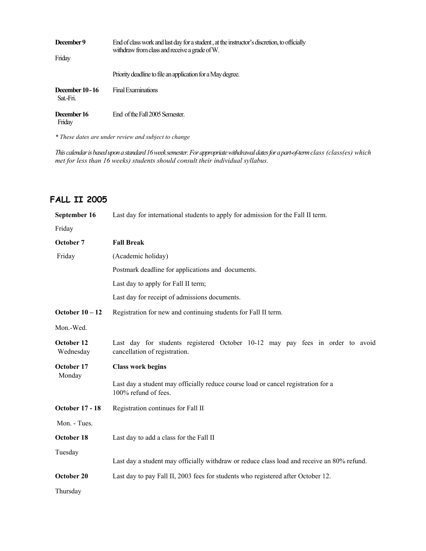| December 9<br>Friday        | End of class work and last day for a student, at the instructor's discretion, to officially<br>withdraw from class and receive a grade of W. |
|-----------------------------|----------------------------------------------------------------------------------------------------------------------------------------------|
|                             | Priority deadline to file an application for a May degree.                                                                                   |
| December 10 - 16<br>Sat-Fri | <b>Final Examinations</b>                                                                                                                    |
| December 16<br>Friday       | End of the Fall 2005 Semester                                                                                                                |

*\* These dates are under review and subject to change*

*This calendar is based upon a standard 16 week semester. For appropriate withdrawal dates for a part-of-term class (class(es) which met for less than 16 weeks) students should consult their individual syllabus.*

### **FALL II 2005**

**September 16** Last day for international students to apply for admission for the Fall II term. Friday **October 7 Fall Break** Friday (Academic holiday) Postmark deadline for applications and documents. Last day to apply for Fall II term; Last day for receipt of admissions documents. **October 10 – 12** Registration for new and continuing students for Fall II term. Mon.-Wed. **October 12** Last day for students registered October 10-12 may pay fees in order to avoid Wednesday cancellation of registration. **October 17 Class work begins**  Monday Last day a student may officially reduce course load or cancel registration for a 100% refund of fees. **October 17 - 18** Registration continues for Fall II Mon. - Tues. **October 18** Last day to add a class for the Fall II Tuesday Last day a student may officially withdraw or reduce class load and receive an 80% refund. **October 20** Last day to pay Fall II, 2003 fees for students who registered after October 12. Thursday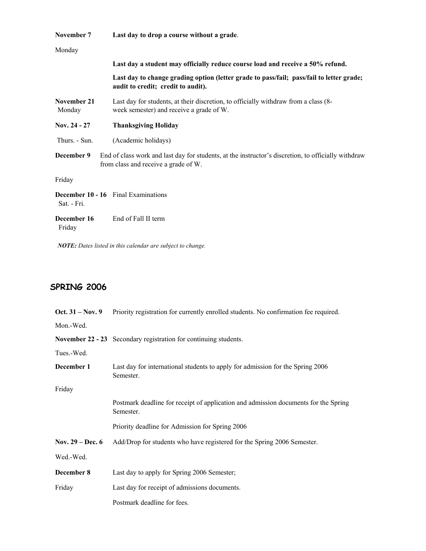| November 7            | Last day to drop a course without a grade.                                                                                                  |
|-----------------------|---------------------------------------------------------------------------------------------------------------------------------------------|
| Monday                |                                                                                                                                             |
|                       | Last day a student may officially reduce course load and receive a 50% refund.                                                              |
|                       | Last day to change grading option (letter grade to pass/fail; pass/fail to letter grade;<br>audit to credit; credit to audit).              |
| November 21<br>Monday | Last day for students, at their discretion, to officially withdraw from a class (8-<br>week semester) and receive a grade of W.             |
| Nov. $24 - 27$        | <b>Thanksgiving Holiday</b>                                                                                                                 |
| Thurs. - Sun.         | (Academic holidays)                                                                                                                         |
| December 9            | End of class work and last day for students, at the instructor's discretion, to officially withdraw<br>from class and receive a grade of W. |
| Friday                |                                                                                                                                             |
| Sat. - Fri.           | <b>December 10 - 16</b> Final Examinations                                                                                                  |
| December 16<br>Friday | End of Fall II term                                                                                                                         |

### **SPRING 2006**

| Oct. $31 - Nov.9$ | Priority registration for currently enrolled students. No confirmation fee required.             |
|-------------------|--------------------------------------------------------------------------------------------------|
| Mon.-Wed.         |                                                                                                  |
|                   | November 22 - 23 Secondary registration for continuing students.                                 |
| Tues.-Wed.        |                                                                                                  |
| December 1        | Last day for international students to apply for admission for the Spring 2006<br>Semester.      |
| Friday            |                                                                                                  |
|                   | Postmark deadline for receipt of application and admission documents for the Spring<br>Semester. |
|                   | Priority deadline for Admission for Spring 2006                                                  |
| Nov. 29 – Dec. 6  | Add/Drop for students who have registered for the Spring 2006 Semester.                          |
| Wed.-Wed.         |                                                                                                  |
| December 8        | Last day to apply for Spring 2006 Semester;                                                      |
| Friday            | Last day for receipt of admissions documents.                                                    |
|                   | Postmark deadline for fees.                                                                      |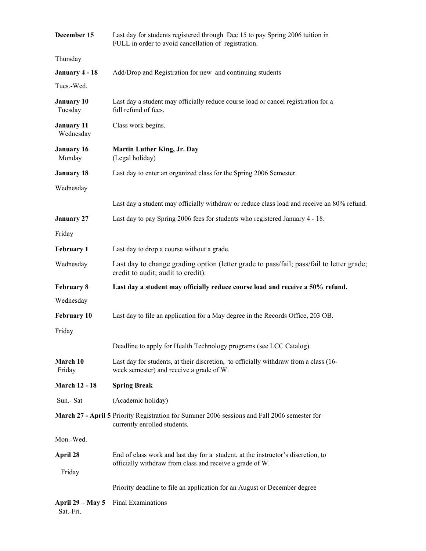| December 15                          | Last day for students registered through Dec 15 to pay Spring 2006 tuition in<br>FULL in order to avoid cancellation of registration. |  |
|--------------------------------------|---------------------------------------------------------------------------------------------------------------------------------------|--|
| Thursday                             |                                                                                                                                       |  |
| January 4 - 18                       | Add/Drop and Registration for new and continuing students                                                                             |  |
| Tues.-Wed.                           |                                                                                                                                       |  |
| <b>January 10</b><br>Tuesday         | Last day a student may officially reduce course load or cancel registration for a<br>full refund of fees.                             |  |
| <b>January 11</b><br>Wednesday       | Class work begins.                                                                                                                    |  |
| <b>January 16</b><br>Monday          | <b>Martin Luther King, Jr. Day</b><br>(Legal holiday)                                                                                 |  |
| <b>January 18</b>                    | Last day to enter an organized class for the Spring 2006 Semester.                                                                    |  |
| Wednesday                            |                                                                                                                                       |  |
|                                      | Last day a student may officially withdraw or reduce class load and receive an 80% refund.                                            |  |
| <b>January 27</b>                    | Last day to pay Spring 2006 fees for students who registered January 4 - 18.                                                          |  |
| Friday                               |                                                                                                                                       |  |
| <b>February 1</b>                    | Last day to drop a course without a grade.                                                                                            |  |
| Wednesday                            | Last day to change grading option (letter grade to pass/fail; pass/fail to letter grade;<br>credit to audit; audit to credit).        |  |
| <b>February 8</b>                    | Last day a student may officially reduce course load and receive a 50% refund.                                                        |  |
| Wednesday                            |                                                                                                                                       |  |
| <b>February 10</b>                   | Last day to file an application for a May degree in the Records Office, 203 OB.                                                       |  |
| Friday                               |                                                                                                                                       |  |
|                                      | Deadline to apply for Health Technology programs (see LCC Catalog).                                                                   |  |
| March 10<br>Friday                   | Last day for students, at their discretion, to officially withdraw from a class (16-<br>week semester) and receive a grade of W.      |  |
| <b>March 12 - 18</b>                 | <b>Spring Break</b>                                                                                                                   |  |
| Sun.- Sat                            | (Academic holiday)                                                                                                                    |  |
|                                      | March 27 - April 5 Priority Registration for Summer 2006 sessions and Fall 2006 semester for<br>currently enrolled students.          |  |
| Mon.-Wed.                            |                                                                                                                                       |  |
| April 28                             | End of class work and last day for a student, at the instructor's discretion, to                                                      |  |
| Friday                               | officially withdraw from class and receive a grade of W.                                                                              |  |
|                                      | Priority deadline to file an application for an August or December degree                                                             |  |
| <b>April 29 – May 5</b><br>Sat.-Fri. | Final Examinations                                                                                                                    |  |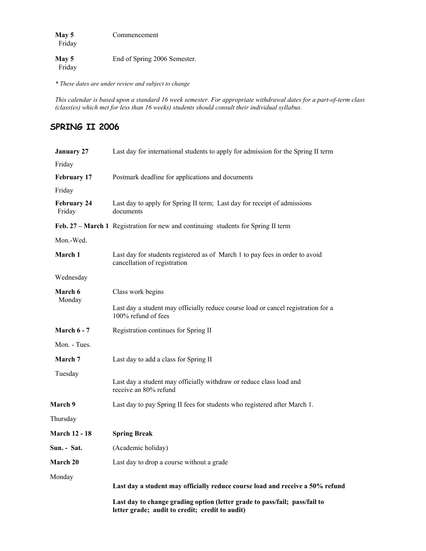**May 5** Commencement Friday May 5 End of Spring 2006 Semester. Friday

*\* These dates are under review and subject to change*

*This calendar is based upon a standard 16 week semester. For appropriate withdrawal dates for a part-of-term class (class(es) which met for less than 16 weeks) students should consult their individual syllabus.*

### **SPRING II 2006**

| <b>January 27</b>            | Last day for international students to apply for admission for the Spring II term                                             |
|------------------------------|-------------------------------------------------------------------------------------------------------------------------------|
| Friday                       |                                                                                                                               |
| <b>February 17</b>           | Postmark deadline for applications and documents                                                                              |
| Friday                       |                                                                                                                               |
| <b>February 24</b><br>Friday | Last day to apply for Spring II term; Last day for receipt of admissions<br>documents                                         |
|                              | Feb. 27 – March 1 Registration for new and continuing students for Spring II term                                             |
| Mon.-Wed.                    |                                                                                                                               |
| March 1                      | Last day for students registered as of March 1 to pay fees in order to avoid<br>cancellation of registration                  |
| Wednesday                    |                                                                                                                               |
| March 6<br>Monday            | Class work begins                                                                                                             |
|                              | Last day a student may officially reduce course load or cancel registration for a<br>100% refund of fees                      |
| <b>March 6 - 7</b>           | Registration continues for Spring II                                                                                          |
| Mon. - Tues.                 |                                                                                                                               |
| March 7                      | Last day to add a class for Spring II                                                                                         |
| Tuesday                      | Last day a student may officially withdraw or reduce class load and<br>receive an 80% refund                                  |
| March 9                      | Last day to pay Spring II fees for students who registered after March 1.                                                     |
| Thursday                     |                                                                                                                               |
| <b>March 12 - 18</b>         | <b>Spring Break</b>                                                                                                           |
| Sun. - Sat.                  | (Academic holiday)                                                                                                            |
| March 20                     | Last day to drop a course without a grade                                                                                     |
| Monday                       | Last day a student may officially reduce course load and receive a 50% refund                                                 |
|                              | Last day to change grading option (letter grade to pass/fail; pass/fail to<br>letter grade; audit to credit; credit to audit) |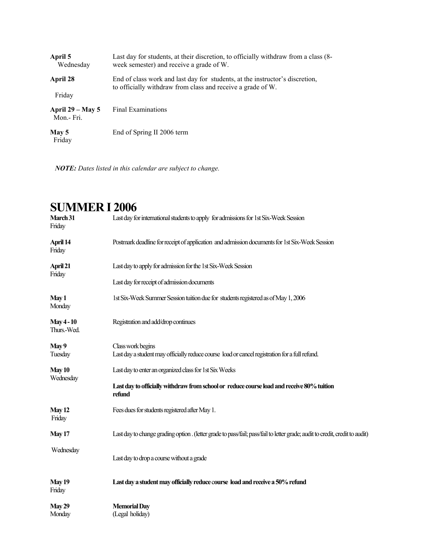| April 5<br>Wednesday            | Last day for students, at their discretion, to officially withdraw from a class (8-<br>week semester) and receive a grade of W.             |
|---------------------------------|---------------------------------------------------------------------------------------------------------------------------------------------|
| April 28                        | End of class work and last day for students, at the instructor's discretion,<br>to officially withdraw from class and receive a grade of W. |
| Friday                          |                                                                                                                                             |
| April $29 - May 5$<br>Mon.-Fri. | <b>Final Examinations</b>                                                                                                                   |
| May 5<br>Friday                 | End of Spring II 2006 term                                                                                                                  |

| SUMMER I 2006                    |                                                                                                                              |
|----------------------------------|------------------------------------------------------------------------------------------------------------------------------|
| March 31<br>Friday               | Last day for international students to apply for admissions for 1st Six-Week Session                                         |
| April 14<br>Friday               | Postmark deadline for receipt of application and admission documents for 1st Six-Week Session                                |
| April 21<br>Friday               | Last day to apply for admission for the 1st Six-Week Session                                                                 |
|                                  | Last day for receipt of admission documents                                                                                  |
| May 1<br>Monday                  | 1st Six-Week Summer Session tuition due for students registered as of May 1, 2006                                            |
| <b>May 4 - 10</b><br>Thurs.-Wed. | Registration and add/drop continues                                                                                          |
| May 9                            | Class work begins                                                                                                            |
| Tuesday                          | Last day a student may officially reduce course load or cancel registration for a full refund.                               |
| May 10<br>Wednesday              | Last day to enter an organized class for 1st Six Weeks                                                                       |
|                                  | Last day to officially withdraw from school or reduce course load and receive 80% tuition<br>refund                          |
| May 12<br>Friday                 | Fees dues for students registered after May 1.                                                                               |
| <b>May 17</b>                    | Last day to change grading option . (letter grade to pass/fail; pass/fail to letter grade; audit to credit, credit to audit) |
| Wednesday                        | Last day to drop a course without a grade                                                                                    |
| May 19<br>Friday                 | Last day a student may officially reduce course load and receive a 50% refund                                                |
| May 29                           | <b>Memorial Day</b>                                                                                                          |
| Monday                           | (Legal holiday)                                                                                                              |

# $\bf{B}$  **SUMPLE I**  $\bf{2006}$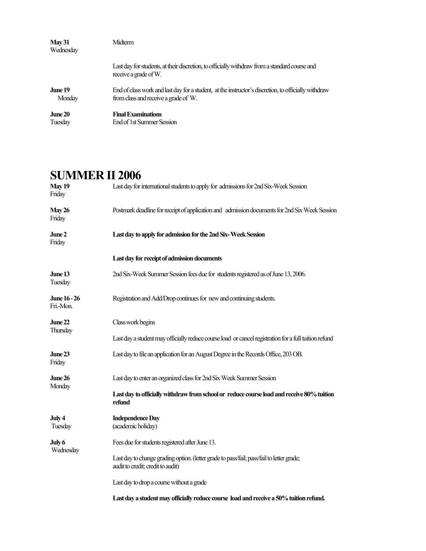| May 31<br>Wednesday | <b>Midterm</b>                                                                                                         |
|---------------------|------------------------------------------------------------------------------------------------------------------------|
|                     | Last day for students, at their discretion, to officially withdraw from a standard course and<br>receive a grade of W. |
| June 19             | End of class work and last day for a student, at the instructor's discretion, to officially withdraw                   |
| Monday              | from class and receive a grade of W.                                                                                   |
| June 20             | <b>Final Examinations</b>                                                                                              |
| Tuesday             | End of 1st Summer Session                                                                                              |

## **SUMMER II 2006**

| <b>May 19</b><br>Friday          | Last day for international students to apply for admissions for 2nd Six-Week Session                                           |
|----------------------------------|--------------------------------------------------------------------------------------------------------------------------------|
| May 26<br>Friday                 | Postmark deadline for receipt of application and admission documents for 2nd Six Week Session                                  |
| June 2<br>Friday                 | Last day to apply for admission for the 2nd Six-Week Session                                                                   |
|                                  | Last day for receipt of admission documents                                                                                    |
| June 13<br>Tuesday               | 2nd Six-Week Summer Session fees due for students registered as of June 13, 2006.                                              |
| <b>June 16 - 26</b><br>Fri.-Mon. | Registration and Add/Drop continues for new and continuing students.                                                           |
| June 22<br>Thursday              | Class work begins                                                                                                              |
|                                  | Last day a student may officially reduce course load or cancel registration for a full tuition refund                          |
| June 23<br>Friday                | Last day to file an application for an August Degree in the Records Office, 203 OB.                                            |
| June 26                          | Last day to enter an organized class for 2nd Six Week Summer Session                                                           |
| Monday                           | Last day to officially withdraw from school or reduce course load and receive 80% tuition<br>refund                            |
| July 4<br>Tuesday                | <b>Independence Day</b><br>(academic holiday)                                                                                  |
| July 6                           | Fees due for students registered after June 13.                                                                                |
| Wednesday                        | Last day to change grading option. (letter grade to pass/fail; pass/fail to letter grade;<br>audit to credit; credit to audit) |
|                                  | Last day to drop a course without a grade                                                                                      |
|                                  | Last day a student may officially reduce course load and receive a 50% tuition refund.                                         |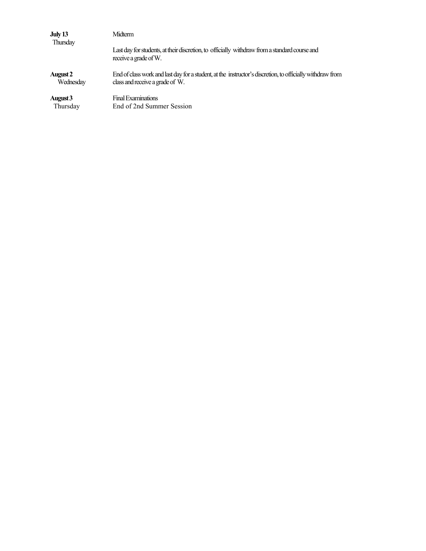| <b>July 13</b><br><b>Thursday</b> | Midterm                                                                                                                |
|-----------------------------------|------------------------------------------------------------------------------------------------------------------------|
|                                   | Last day for students, at their discretion, to officially withdraw from a standard course and<br>receive a grade of W. |
| <b>August 2</b>                   | End of class work and last day for a student, at the instructor's discretion, to officially withdraw from              |
| Wednesday                         | class and receive a grade of W.                                                                                        |
| August 3                          | <b>Final Examinations</b>                                                                                              |
| Thursday                          | End of 2nd Summer Session                                                                                              |